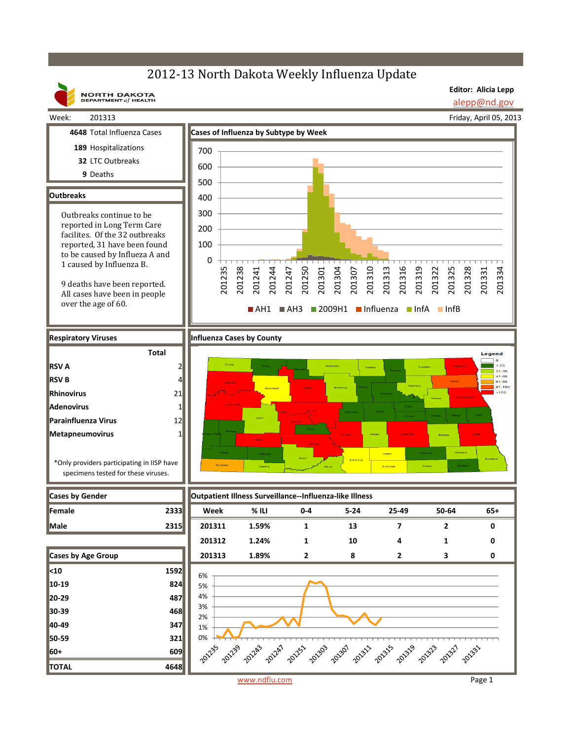## 2012-13 North Dakota Weekly Influenza Update

**NORTH DAKOTA**<br>DEPARTMENT of HEALTH

**Editor: Alicia Lepp** alepp@nd.gov